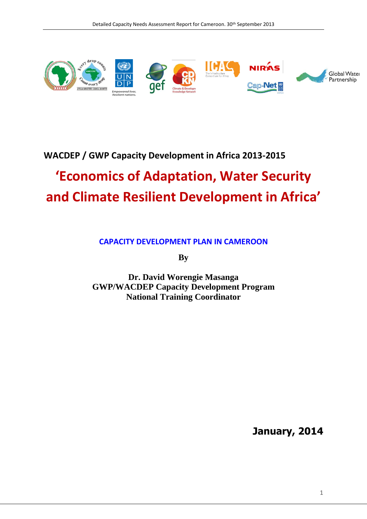

## **WACDEP / GWP Capacity Development in Africa 2013-2015**

# **'Economics of Adaptation, Water Security and Climate Resilient Development in Africa'**

**CAPACITY DEVELOPMENT PLAN IN CAMEROON**

**By**

**Dr. David Worengie Masanga GWP/WACDEP Capacity Development Program National Training Coordinator**

**January, 2014**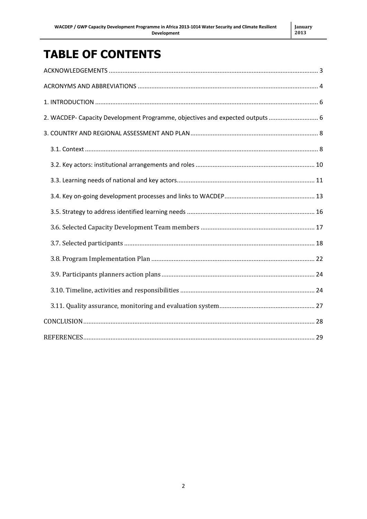## **TABLE OF CONTENTS**

| 2. WACDEP- Capacity Development Programme, objectives and expected outputs  6 |
|-------------------------------------------------------------------------------|
|                                                                               |
|                                                                               |
|                                                                               |
|                                                                               |
|                                                                               |
|                                                                               |
|                                                                               |
|                                                                               |
|                                                                               |
|                                                                               |
|                                                                               |
|                                                                               |
|                                                                               |
|                                                                               |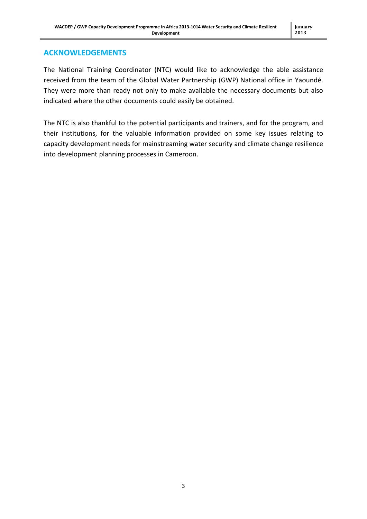#### <span id="page-2-0"></span>**ACKNOWLEDGEMENTS**

The National Training Coordinator (NTC) would like to acknowledge the able assistance received from the team of the Global Water Partnership (GWP) National office in Yaoundé. They were more than ready not only to make available the necessary documents but also indicated where the other documents could easily be obtained.

The NTC is also thankful to the potential participants and trainers, and for the program, and their institutions, for the valuable information provided on some key issues relating to capacity development needs for mainstreaming water security and climate change resilience into development planning processes in Cameroon.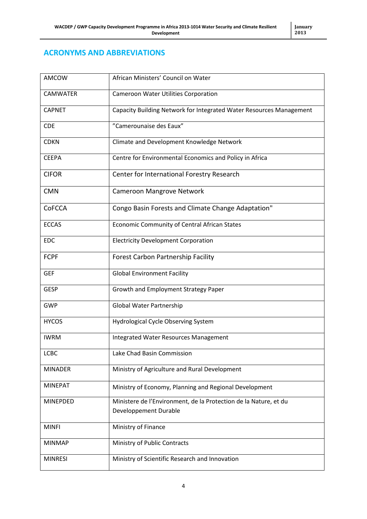#### <span id="page-3-0"></span>**ACRONYMS AND ABBREVIATIONS**

| AMCOW           | African Ministers' Council on Water                                 |
|-----------------|---------------------------------------------------------------------|
| <b>CAMWATER</b> | Cameroon Water Utilities Corporation                                |
| <b>CAPNET</b>   | Capacity Building Network for Integrated Water Resources Management |
| <b>CDE</b>      | "Camerounaise des Eaux"                                             |
| <b>CDKN</b>     | Climate and Development Knowledge Network                           |
| <b>CEEPA</b>    | Centre for Environmental Economics and Policy in Africa             |
| <b>CIFOR</b>    | Center for International Forestry Research                          |
| <b>CMN</b>      | Cameroon Mangrove Network                                           |
| <b>CoFCCA</b>   | Congo Basin Forests and Climate Change Adaptation"                  |
| <b>ECCAS</b>    | Economic Community of Central African States                        |
| <b>EDC</b>      | <b>Electricity Development Corporation</b>                          |
| <b>FCPF</b>     | Forest Carbon Partnership Facility                                  |
| <b>GEF</b>      | <b>Global Environment Facility</b>                                  |
| <b>GESP</b>     | Growth and Employment Strategy Paper                                |
| <b>GWP</b>      | Global Water Partnership                                            |
| <b>HYCOS</b>    | Hydrological Cycle Observing System                                 |
| <b>IWRM</b>     | Integrated Water Resources Management                               |
| <b>LCBC</b>     | Lake Chad Basin Commission                                          |
| <b>MINADER</b>  | Ministry of Agriculture and Rural Development                       |
| <b>MINEPAT</b>  | Ministry of Economy, Planning and Regional Development              |
| <b>MINEPDED</b> | Ministere de l'Environment, de la Protection de la Nature, et du    |
|                 | Developpement Durable                                               |
| <b>MINFI</b>    | Ministry of Finance                                                 |
| <b>MINMAP</b>   | Ministry of Public Contracts                                        |
| <b>MINRESI</b>  | Ministry of Scientific Research and Innovation                      |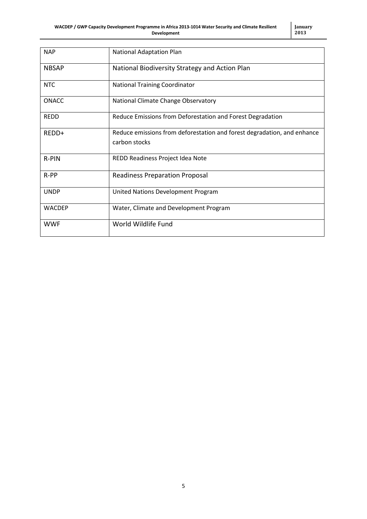| <b>NAP</b>    | <b>National Adaptation Plan</b>                                                          |
|---------------|------------------------------------------------------------------------------------------|
| <b>NBSAP</b>  | National Biodiversity Strategy and Action Plan                                           |
| <b>NTC</b>    | <b>National Training Coordinator</b>                                                     |
| <b>ONACC</b>  | National Climate Change Observatory                                                      |
| <b>REDD</b>   | Reduce Emissions from Deforestation and Forest Degradation                               |
| REDD+         | Reduce emissions from deforestation and forest degradation, and enhance<br>carbon stocks |
| R-PIN         | REDD Readiness Project Idea Note                                                         |
| $R-PP$        | <b>Readiness Preparation Proposal</b>                                                    |
| <b>UNDP</b>   | United Nations Development Program                                                       |
| <b>WACDEP</b> | Water, Climate and Development Program                                                   |
| <b>WWF</b>    | World Wildlife Fund                                                                      |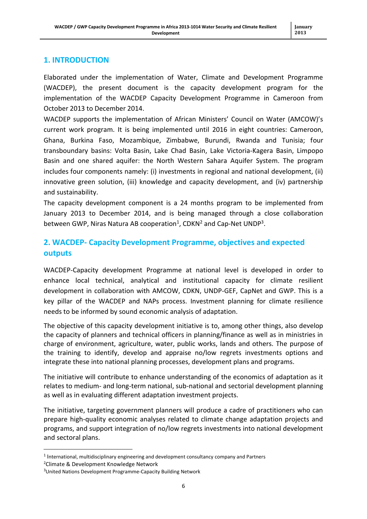#### <span id="page-5-0"></span>**1. INTRODUCTION**

Elaborated under the implementation of Water, Climate and Development Programme (WACDEP), the present document is the capacity development program for the implementation of the WACDEP Capacity Development Programme in Cameroon from October 2013 to December 2014.

WACDEP supports the implementation of African Ministers' Council on Water (AMCOW)'s current work program. It is being implemented until 2016 in eight countries: Cameroon, Ghana, Burkina Faso, Mozambique, Zimbabwe, Burundi, Rwanda and Tunisia; four transboundary basins: Volta Basin, Lake Chad Basin, Lake Victoria-Kagera Basin, Limpopo Basin and one shared aquifer: the North Western Sahara Aquifer System. The program includes four components namely: (i) investments in regional and national development, (ii) innovative green solution, (iii) knowledge and capacity development, and (iv) partnership and sustainability.

The capacity development component is a 24 months program to be implemented from January 2013 to December 2014, and is being managed through a close collaboration between GWP, Niras Natura AB cooperation<sup>1</sup>, CDKN<sup>2</sup> and Cap-Net UNDP<sup>3</sup>.

#### <span id="page-5-1"></span>**2. WACDEP- Capacity Development Programme, objectives and expected outputs**

WACDEP-Capacity development Programme at national level is developed in order to enhance local technical, analytical and institutional capacity for climate resilient development in collaboration with AMCOW, CDKN, UNDP-GEF, CapNet and GWP. This is a key pillar of the WACDEP and NAPs process. Investment planning for climate resilience needs to be informed by sound economic analysis of adaptation.

The objective of this capacity development initiative is to, among other things, also develop the capacity of planners and technical officers in planning/finance as well as in ministries in charge of environment, agriculture, water, public works, lands and others. The purpose of the training to identify, develop and appraise no/low regrets investments options and integrate these into national planning processes, development plans and programs.

The initiative will contribute to enhance understanding of the economics of adaptation as it relates to medium- and long-term national, sub-national and sectorial development planning as well as in evaluating different adaptation investment projects.

The initiative, targeting government planners will produce a cadre of practitioners who can prepare high-quality economic analyses related to climate change adaptation projects and programs, and support integration of no/low regrets investments into national development and sectoral plans.

 $\overline{\phantom{a}}$ 

 $<sup>1</sup>$  International, multidisciplinary engineering and development consultancy company and Partners</sup>

<sup>2</sup>Climate & Development Knowledge Network

<sup>&</sup>lt;sup>3</sup>United Nations Development Programme-Capacity Building Network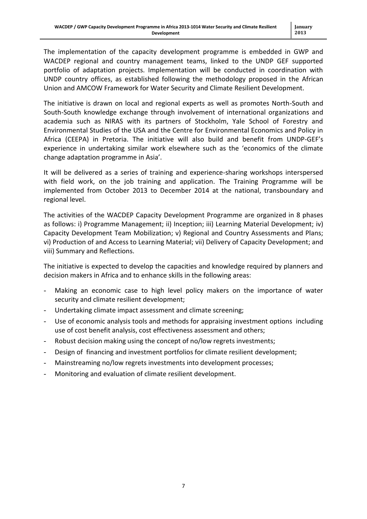The implementation of the capacity development programme is embedded in GWP and WACDEP regional and country management teams, linked to the UNDP GEF supported portfolio of adaptation projects. Implementation will be conducted in coordination with UNDP country offices, as established following the methodology proposed in the African Union and AMCOW Framework for Water Security and Climate Resilient Development.

The initiative is drawn on local and regional experts as well as promotes North-South and South-South knowledge exchange through involvement of international organizations and academia such as NIRAS with its partners of Stockholm, Yale School of Forestry and Environmental Studies of the USA and the Centre for Environmental Economics and Policy in Africa (CEEPA) in Pretoria. The initiative will also build and benefit from UNDP-GEF's experience in undertaking similar work elsewhere such as the 'economics of the climate change adaptation programme in Asia'.

It will be delivered as a series of training and experience-sharing workshops interspersed with field work, on the job training and application. The Training Programme will be implemented from October 2013 to December 2014 at the national, transboundary and regional level.

The activities of the WACDEP Capacity Development Programme are organized in 8 phases as follows: i) Programme Management; ii) Inception; iii) Learning Material Development; iv) Capacity Development Team Mobilization; v) Regional and Country Assessments and Plans; vi) Production of and Access to Learning Material; vii) Delivery of Capacity Development; and viii) Summary and Reflections.

The initiative is expected to develop the capacities and knowledge required by planners and decision makers in Africa and to enhance skills in the following areas:

- Making an economic case to high level policy makers on the importance of water security and climate resilient development;
- Undertaking climate impact assessment and climate screening;
- Use of economic analysis tools and methods for appraising investment options including use of cost benefit analysis, cost effectiveness assessment and others;
- Robust decision making using the concept of no/low regrets investments:
- Design of financing and investment portfolios for climate resilient development;
- Mainstreaming no/low regrets investments into development processes;
- Monitoring and evaluation of climate resilient development.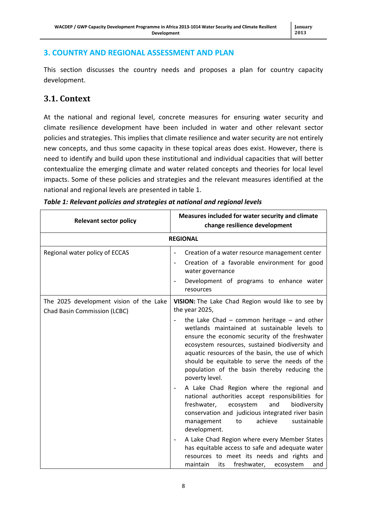#### <span id="page-7-0"></span>**3. COUNTRY AND REGIONAL ASSESSMENT AND PLAN**

This section discusses the country needs and proposes a plan for country capacity development.

### <span id="page-7-1"></span>**3.1. Context**

At the national and regional level, concrete measures for ensuring water security and climate resilience development have been included in water and other relevant sector policies and strategies. This implies that climate resilience and water security are not entirely new concepts, and thus some capacity in these topical areas does exist. However, there is need to identify and build upon these institutional and individual capacities that will better contextualize the emerging climate and water related concepts and theories for local level impacts. Some of these policies and strategies and the relevant measures identified at the national and regional levels are presented in table 1.

| <b>Relevant sector policy</b>                                                  | Measures included for water security and climate<br>change resilience development                                                                                                                                                                                                                                                                                           |  |  |
|--------------------------------------------------------------------------------|-----------------------------------------------------------------------------------------------------------------------------------------------------------------------------------------------------------------------------------------------------------------------------------------------------------------------------------------------------------------------------|--|--|
|                                                                                | <b>REGIONAL</b>                                                                                                                                                                                                                                                                                                                                                             |  |  |
| Regional water policy of ECCAS                                                 | Creation of a water resource management center<br>Creation of a favorable environment for good<br>water governance<br>Development of programs to enhance water<br>$\overline{\phantom{m}}$<br>resources                                                                                                                                                                     |  |  |
| The 2025 development vision of the Lake<br><b>Chad Basin Commission (LCBC)</b> | VISION: The Lake Chad Region would like to see by<br>the year 2025,                                                                                                                                                                                                                                                                                                         |  |  |
|                                                                                | the Lake Chad $-$ common heritage $-$ and other<br>wetlands maintained at sustainable levels to<br>ensure the economic security of the freshwater<br>ecosystem resources, sustained biodiversity and<br>aquatic resources of the basin, the use of which<br>should be equitable to serve the needs of the<br>population of the basin thereby reducing the<br>poverty level. |  |  |
|                                                                                | A Lake Chad Region where the regional and<br>$\qquad \qquad \blacksquare$<br>national authorities accept responsibilities for<br>freshwater,<br>ecosystem<br>and<br>biodiversity<br>conservation and judicious integrated river basin<br>achieve<br>sustainable<br>management<br>to<br>development.                                                                         |  |  |
|                                                                                | A Lake Chad Region where every Member States<br>$\overline{\phantom{a}}$<br>has equitable access to safe and adequate water<br>resources to meet its needs and rights and<br>maintain<br>freshwater,<br>its<br>ecosystem<br>and                                                                                                                                             |  |  |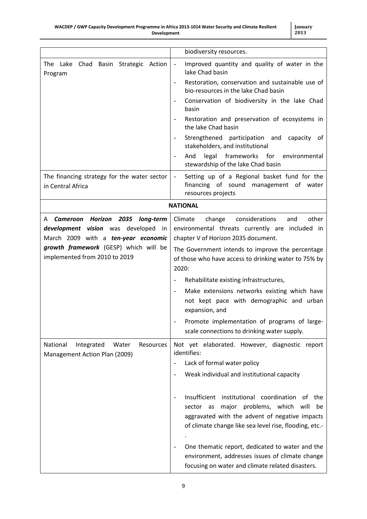|                                                                               | biodiversity resources.                                                                                                                                                                                                                                                                                                                                                                                |
|-------------------------------------------------------------------------------|--------------------------------------------------------------------------------------------------------------------------------------------------------------------------------------------------------------------------------------------------------------------------------------------------------------------------------------------------------------------------------------------------------|
| The Lake<br>Chad Basin Strategic<br>Action<br>Program                         | Improved quantity and quality of water in the<br>lake Chad basin                                                                                                                                                                                                                                                                                                                                       |
|                                                                               | Restoration, conservation and sustainable use of<br>$\overline{\phantom{a}}$<br>bio-resources in the lake Chad basin                                                                                                                                                                                                                                                                                   |
|                                                                               | Conservation of biodiversity in the lake Chad<br>basin                                                                                                                                                                                                                                                                                                                                                 |
|                                                                               | Restoration and preservation of ecosystems in<br>$\qquad \qquad -$<br>the lake Chad basin                                                                                                                                                                                                                                                                                                              |
|                                                                               | Strengthened participation and capacity of<br>stakeholders, and institutional                                                                                                                                                                                                                                                                                                                          |
|                                                                               | legal<br>And<br>frameworks<br>for<br>environmental<br>$\overline{\phantom{a}}$<br>stewardship of the lake Chad basin                                                                                                                                                                                                                                                                                   |
| The financing strategy for the water sector<br>in Central Africa              | Setting up of a Regional basket fund for the<br>financing of sound management of water<br>resources projects                                                                                                                                                                                                                                                                                           |
|                                                                               | <b>NATIONAL</b>                                                                                                                                                                                                                                                                                                                                                                                        |
| Cameroon Horizon 2035 long-term<br>A                                          | change<br>considerations<br>other<br>Climate<br>and                                                                                                                                                                                                                                                                                                                                                    |
| development vision was developed in                                           | environmental threats currently are included in                                                                                                                                                                                                                                                                                                                                                        |
| March 2009 with a ten-year economic                                           | chapter V of Horizon 2035 document.                                                                                                                                                                                                                                                                                                                                                                    |
| growth framework (GESP) which will be                                         | The Government intends to improve the percentage                                                                                                                                                                                                                                                                                                                                                       |
| implemented from 2010 to 2019                                                 | of those who have access to drinking water to 75% by                                                                                                                                                                                                                                                                                                                                                   |
|                                                                               | 2020:                                                                                                                                                                                                                                                                                                                                                                                                  |
|                                                                               | Rehabilitate existing infrastructures,                                                                                                                                                                                                                                                                                                                                                                 |
|                                                                               | Make extensions networks existing which have                                                                                                                                                                                                                                                                                                                                                           |
|                                                                               | not kept pace with demographic and urban<br>expansion, and                                                                                                                                                                                                                                                                                                                                             |
|                                                                               | Promote implementation of programs of large-<br>scale connections to drinking water supply.                                                                                                                                                                                                                                                                                                            |
| National<br>Integrated<br>Resources<br>Water<br>Management Action Plan (2009) | Not yet elaborated. However, diagnostic report<br>identifies:                                                                                                                                                                                                                                                                                                                                          |
|                                                                               | Lack of formal water policy                                                                                                                                                                                                                                                                                                                                                                            |
|                                                                               | Weak individual and institutional capacity                                                                                                                                                                                                                                                                                                                                                             |
|                                                                               | Insufficient institutional<br>coordination<br>of<br>the<br>$\qquad \qquad -$<br>major problems, which<br>sector as<br>will<br>be<br>aggravated with the advent of negative impacts<br>of climate change like sea level rise, flooding, etc.-<br>One thematic report, dedicated to water and the<br>environment, addresses issues of climate change<br>focusing on water and climate related disasters. |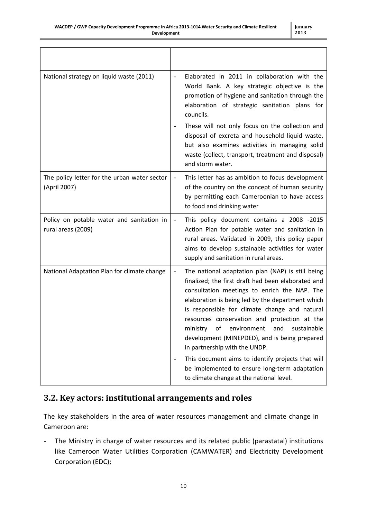| National strategy on liquid waste (2011)                        | Elaborated in 2011 in collaboration with the<br>World Bank. A key strategic objective is the<br>promotion of hygiene and sanitation through the<br>elaboration of strategic sanitation plans for<br>councils.<br>These will not only focus on the collection and<br>disposal of excreta and household liquid waste,<br>but also examines activities in managing solid                                                                                 |
|-----------------------------------------------------------------|-------------------------------------------------------------------------------------------------------------------------------------------------------------------------------------------------------------------------------------------------------------------------------------------------------------------------------------------------------------------------------------------------------------------------------------------------------|
|                                                                 | waste (collect, transport, treatment and disposal)<br>and storm water.                                                                                                                                                                                                                                                                                                                                                                                |
| The policy letter for the urban water sector<br>(April 2007)    | This letter has as ambition to focus development<br>$\overline{\phantom{a}}$<br>of the country on the concept of human security<br>by permitting each Cameroonian to have access<br>to food and drinking water                                                                                                                                                                                                                                        |
| Policy on potable water and sanitation in<br>rural areas (2009) | This policy document contains a 2008 -2015<br>$\overline{a}$<br>Action Plan for potable water and sanitation in<br>rural areas. Validated in 2009, this policy paper<br>aims to develop sustainable activities for water<br>supply and sanitation in rural areas.                                                                                                                                                                                     |
| National Adaptation Plan for climate change                     | The national adaptation plan (NAP) is still being<br>finalized; the first draft had been elaborated and<br>consultation meetings to enrich the NAP. The<br>elaboration is being led by the department which<br>is responsible for climate change and natural<br>resources conservation and protection at the<br>environment<br>sustainable<br>ministry<br>οf<br>and<br>development (MINEPDED), and is being prepared<br>in partnership with the UNDP. |
|                                                                 | This document aims to identify projects that will<br>be implemented to ensure long-term adaptation<br>to climate change at the national level.                                                                                                                                                                                                                                                                                                        |

#### <span id="page-9-0"></span>**3.2. Key actors: institutional arrangements and roles**

The key stakeholders in the area of water resources management and climate change in Cameroon are:

- The Ministry in charge of water resources and its related public (parastatal) institutions like Cameroon Water Utilities Corporation (CAMWATER) and Electricity Development Corporation (EDC);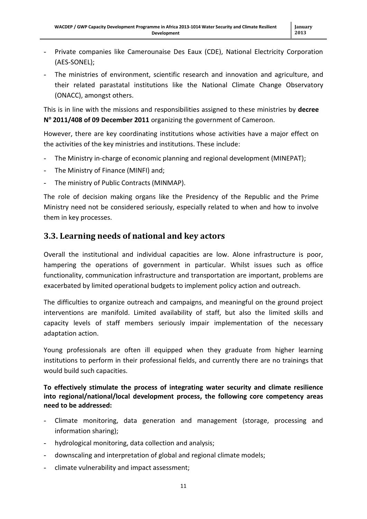- Private companies like Camerounaise Des Eaux (CDE), National Electricity Corporation (AES-SONEL);
- The ministries of environment, scientific research and innovation and agriculture, and their related parastatal institutions like the National Climate Change Observatory (ONACC), amongst others.

This is in line with the missions and responsibilities assigned to these ministries by **decree N <sup>o</sup> 2011/408 of 09 December 2011** organizing the government of Cameroon.

However, there are key coordinating institutions whose activities have a major effect on the activities of the key ministries and institutions. These include:

- The Ministry in-charge of economic planning and regional development (MINEPAT);
- The Ministry of Finance (MINFI) and;
- The ministry of Public Contracts (MINMAP).

The role of decision making organs like the Presidency of the Republic and the Prime Ministry need not be considered seriously, especially related to when and how to involve them in key processes.

#### <span id="page-10-0"></span>**3.3. Learning needs of national and key actors**

Overall the institutional and individual capacities are low. Alone infrastructure is poor, hampering the operations of government in particular. Whilst issues such as office functionality, communication infrastructure and transportation are important, problems are exacerbated by limited operational budgets to implement policy action and outreach.

The difficulties to organize outreach and campaigns, and meaningful on the ground project interventions are manifold. Limited availability of staff, but also the limited skills and capacity levels of staff members seriously impair implementation of the necessary adaptation action.

Young professionals are often ill equipped when they graduate from higher learning institutions to perform in their professional fields, and currently there are no trainings that would build such capacities.

**To effectively stimulate the process of integrating water security and climate resilience into regional/national/local development process, the following core competency areas need to be addressed:**

- Climate monitoring, data generation and management (storage, processing and information sharing);
- hydrological monitoring, data collection and analysis;
- downscaling and interpretation of global and regional climate models;
- climate vulnerability and impact assessment;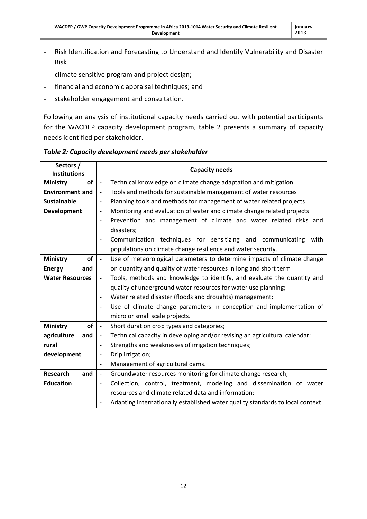- Risk Identification and Forecasting to Understand and Identify Vulnerability and Disaster Risk
- climate sensitive program and project design;
- financial and economic appraisal techniques; and
- stakeholder engagement and consultation.

Following an analysis of institutional capacity needs carried out with potential participants for the WACDEP capacity development program, table 2 presents a summary of capacity needs identified per stakeholder.

*Table 2: Capacity development needs per stakeholder*

| Sectors /<br><b>Institutions</b> | <b>Capacity needs</b>                                                                                  |
|----------------------------------|--------------------------------------------------------------------------------------------------------|
| of<br><b>Ministry</b>            | Technical knowledge on climate change adaptation and mitigation<br>$\overline{\phantom{a}}$            |
| <b>Environment and</b>           | Tools and methods for sustainable management of water resources<br>$\overline{\phantom{a}}$            |
| <b>Sustainable</b>               | Planning tools and methods for management of water related projects<br>$\overline{\phantom{a}}$        |
| <b>Development</b>               | Monitoring and evaluation of water and climate change related projects<br>$\overline{\phantom{a}}$     |
|                                  | Prevention and management of climate and water related risks and<br>$\overline{\phantom{a}}$           |
|                                  | disasters;                                                                                             |
|                                  | Communication techniques for sensitizing and communicating<br>with<br>$\overline{\phantom{a}}$         |
|                                  | populations on climate change resilience and water security.                                           |
| <b>of</b><br><b>Ministry</b>     | Use of meteorological parameters to determine impacts of climate change<br>$\overline{\phantom{a}}$    |
| <b>Energy</b><br>and             | on quantity and quality of water resources in long and short term                                      |
| <b>Water Resources</b>           | Tools, methods and knowledge to identify, and evaluate the quantity and                                |
|                                  | quality of underground water resources for water use planning;                                         |
|                                  | Water related disaster (floods and droughts) management;<br>$\overline{\phantom{a}}$                   |
|                                  | Use of climate change parameters in conception and implementation of<br>$\overline{\phantom{a}}$       |
|                                  | micro or small scale projects.                                                                         |
| of<br><b>Ministry</b>            | Short duration crop types and categories;<br>$\overline{\phantom{a}}$                                  |
| agriculture<br>and               | Technical capacity in developing and/or revising an agricultural calendar;<br>$\overline{\phantom{a}}$ |
| rural                            | Strengths and weaknesses of irrigation techniques;<br>$\overline{\phantom{a}}$                         |
| development                      | Drip irrigation;<br>$\overline{\phantom{a}}$                                                           |
|                                  | Management of agricultural dams.<br>$\blacksquare$                                                     |
| <b>Research</b><br>and           | Groundwater resources monitoring for climate change research;<br>$\overline{\phantom{a}}$              |
| <b>Education</b>                 | Collection, control, treatment, modeling and dissemination of water<br>$\overline{\phantom{a}}$        |
|                                  | resources and climate related data and information;                                                    |
|                                  | Adapting internationally established water quality standards to local context.                         |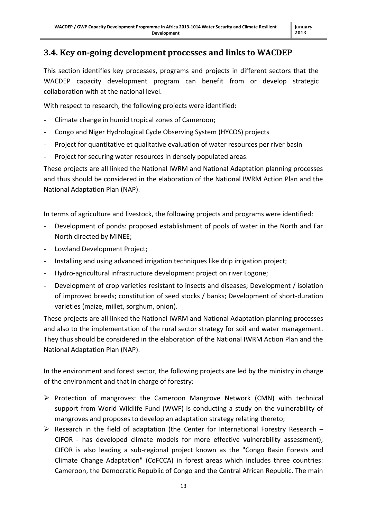#### <span id="page-12-0"></span>**3.4. Key on-going development processes and links to WACDEP**

This section identifies key processes, programs and projects in different sectors that the WACDEP capacity development program can benefit from or develop strategic collaboration with at the national level.

With respect to research, the following projects were identified:

- Climate change in humid tropical zones of Cameroon;
- Congo and Niger Hydrological Cycle Observing System (HYCOS) projects
- Project for quantitative et qualitative evaluation of water resources per river basin
- Project for securing water resources in densely populated areas.

These projects are all linked the National IWRM and National Adaptation planning processes and thus should be considered in the elaboration of the National IWRM Action Plan and the National Adaptation Plan (NAP).

In terms of agriculture and livestock, the following projects and programs were identified:

- Development of ponds: proposed establishment of pools of water in the North and Far North directed by MINEE;
- Lowland Development Project;
- Installing and using advanced irrigation techniques like drip irrigation project;
- Hydro-agricultural infrastructure development project on river Logone;
- Development of crop varieties resistant to insects and diseases; Development / isolation of improved breeds; constitution of seed stocks / banks; Development of short-duration varieties (maize, millet, sorghum, onion).

These projects are all linked the National IWRM and National Adaptation planning processes and also to the implementation of the rural sector strategy for soil and water management. They thus should be considered in the elaboration of the National IWRM Action Plan and the National Adaptation Plan (NAP).

In the environment and forest sector, the following projects are led by the ministry in charge of the environment and that in charge of forestry:

- $\triangleright$  Protection of mangroves: the Cameroon Mangrove Network (CMN) with technical support from World Wildlife Fund (WWF) is conducting a study on the vulnerability of mangroves and proposes to develop an adaptation strategy relating thereto;
- $\triangleright$  Research in the field of adaptation (the Center for International Forestry Research CIFOR - has developed climate models for more effective vulnerability assessment); CIFOR is also leading a sub-regional project known as the "Congo Basin Forests and Climate Change Adaptation" (CoFCCA) in forest areas which includes three countries: Cameroon, the Democratic Republic of Congo and the Central African Republic. The main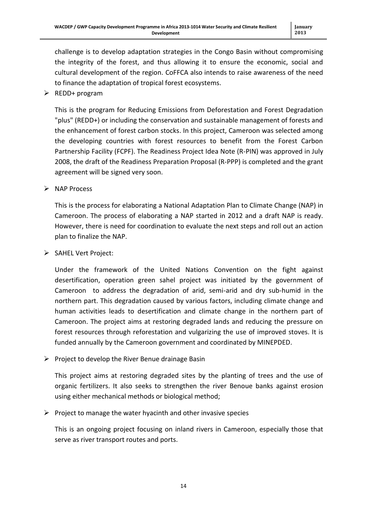challenge is to develop adaptation strategies in the Congo Basin without compromising the integrity of the forest, and thus allowing it to ensure the economic, social and cultural development of the region. CoFFCA also intends to raise awareness of the need to finance the adaptation of tropical forest ecosystems.

 $\triangleright$  REDD+ program

This is the program for Reducing Emissions from Deforestation and Forest Degradation "plus" (REDD+) or including the conservation and sustainable management of forests and the enhancement of forest carbon stocks. In this project, Cameroon was selected among the developing countries with forest resources to benefit from the Forest Carbon Partnership Facility (FCPF). The Readiness Project Idea Note (R-PIN) was approved in July 2008, the draft of the Readiness Preparation Proposal (R-PPP) is completed and the grant agreement will be signed very soon.

 $\triangleright$  NAP Process

This is the process for elaborating a National Adaptation Plan to Climate Change (NAP) in Cameroon. The process of elaborating a NAP started in 2012 and a draft NAP is ready. However, there is need for coordination to evaluate the next steps and roll out an action plan to finalize the NAP.

SAHEL Vert Project:

Under the framework of the United Nations Convention on the fight against desertification, operation green sahel project was initiated by the government of Cameroon to address the degradation of arid, semi-arid and dry sub-humid in the northern part. This degradation caused by various factors, including climate change and human activities leads to desertification and climate change in the northern part of Cameroon. The project aims at restoring degraded lands and reducing the pressure on forest resources through reforestation and vulgarizing the use of improved stoves. It is funded annually by the Cameroon government and coordinated by MINEPDED.

 $\triangleright$  Project to develop the River Benue drainage Basin

This project aims at restoring degraded sites by the planting of trees and the use of organic fertilizers. It also seeks to strengthen the river Benoue banks against erosion using either mechanical methods or biological method;

 $\triangleright$  Project to manage the water hyacinth and other invasive species

This is an ongoing project focusing on inland rivers in Cameroon, especially those that serve as river transport routes and ports.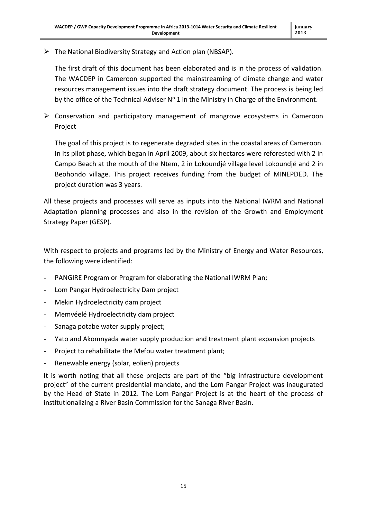$\triangleright$  The National Biodiversity Strategy and Action plan (NBSAP).

The first draft of this document has been elaborated and is in the process of validation. The WACDEP in Cameroon supported the mainstreaming of climate change and water resources management issues into the draft strategy document. The process is being led by the office of the Technical Adviser  $N^{\circ}$  1 in the Ministry in Charge of the Environment.

 $\triangleright$  Conservation and participatory management of mangrove ecosystems in Cameroon Project

The goal of this project is to regenerate degraded sites in the coastal areas of Cameroon. In its pilot phase, which began in April 2009, about six hectares were reforested with 2 in Campo Beach at the mouth of the Ntem, 2 in Lokoundjé village level Lokoundjé and 2 in Beohondo village. This project receives funding from the budget of MINEPDED. The project duration was 3 years.

All these projects and processes will serve as inputs into the National IWRM and National Adaptation planning processes and also in the revision of the Growth and Employment Strategy Paper (GESP).

With respect to projects and programs led by the Ministry of Energy and Water Resources, the following were identified:

- PANGIRE Program or Program for elaborating the National IWRM Plan;
- Lom Pangar Hydroelectricity Dam project
- Mekin Hydroelectricity dam project
- Memvéelé Hydroelectricity dam project
- Sanaga potabe water supply project;
- Yato and Akomnyada water supply production and treatment plant expansion projects
- Project to rehabilitate the Mefou water treatment plant;
- Renewable energy (solar, eolien) projects

It is worth noting that all these projects are part of the "big infrastructure development project" of the current presidential mandate, and the Lom Pangar Project was inaugurated by the Head of State in 2012. The Lom Pangar Project is at the heart of the process of institutionalizing a River Basin Commission for the Sanaga River Basin.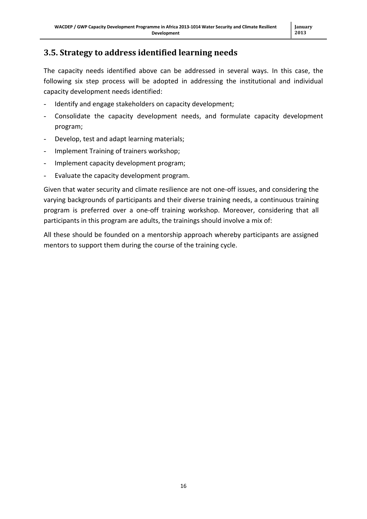## <span id="page-15-0"></span>**3.5. Strategy to address identified learning needs**

The capacity needs identified above can be addressed in several ways. In this case, the following six step process will be adopted in addressing the institutional and individual capacity development needs identified:

- Identify and engage stakeholders on capacity development;
- Consolidate the capacity development needs, and formulate capacity development program;
- Develop, test and adapt learning materials;
- Implement Training of trainers workshop;
- Implement capacity development program;
- Evaluate the capacity development program.

Given that water security and climate resilience are not one-off issues, and considering the varying backgrounds of participants and their diverse training needs, a continuous training program is preferred over a one-off training workshop. Moreover, considering that all participants in this program are adults, the trainings should involve a mix of:

All these should be founded on a mentorship approach whereby participants are assigned mentors to support them during the course of the training cycle.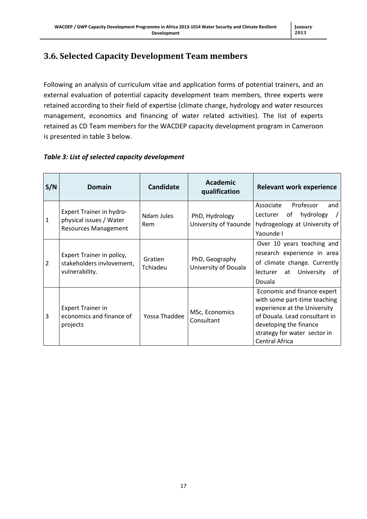## <span id="page-16-0"></span>**3.6. Selected Capacity Development Team members**

Following an analysis of curriculum vitae and application forms of potential trainers, and an external evaluation of potential capacity development team members, three experts were retained according to their field of expertise (climate change, hydrology and water resources management, economics and financing of water related activities). The list of experts retained as CD Team members for the WACDEP capacity development program in Cameroon is presented in table 3 below.

#### *Table 3: List of selected capacity development*

| S/N            | <b>Domain</b>                                                                             | <b>Candidate</b>    | <b>Academic</b><br>qualification        | <b>Relevant work experience</b>                                                                                                                                                                                 |  |
|----------------|-------------------------------------------------------------------------------------------|---------------------|-----------------------------------------|-----------------------------------------------------------------------------------------------------------------------------------------------------------------------------------------------------------------|--|
| $\mathbf{1}$   | <b>Expert Trainer in hydro-</b><br>physical issues / Water<br><b>Resources Management</b> | Ndam Jules<br>Rem   | PhD, Hydrology<br>University of Yaounde | Associate<br>Professor<br>and<br>hydrology<br>of<br>Lecturer<br>hydrogeology at University of<br>Yaounde I                                                                                                      |  |
| $\overline{2}$ | Expert Trainer in policy,<br>stakeholders invlovement,<br>vulnerability.                  | Gratien<br>Tchiadeu | PhD, Geography<br>University of Douala  | Over 10 years teaching and<br>research experience in area<br>of climate change. Currently<br>University<br>of<br>lecturer<br>at<br>Douala                                                                       |  |
| 3              | <b>Expert Trainer in</b><br>economics and finance of<br>projects                          | Yossa Thaddee       | MSc, Economics<br>Consultant            | Economic and finance expert<br>with some part-time teaching<br>experience at the University<br>of Douala. Lead consultant in<br>developing the finance<br>strategy for water sector in<br><b>Central Africa</b> |  |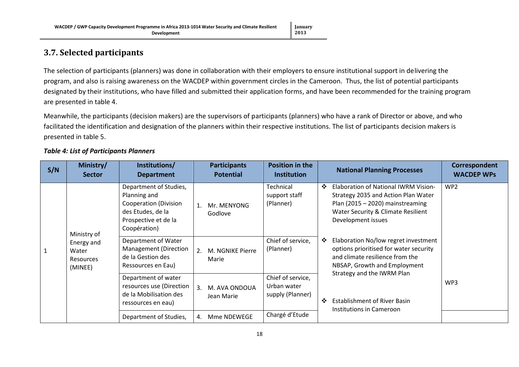#### **January 2013**

### **3.7. Selected participants**

The selection of participants (planners) was done in collaboration with their employers to ensure institutional support in delivering the program, and also is raising awareness on the WACDEP within government circles in the Cameroon. Thus, the list of potential participants designated by their institutions, who have filled and submitted their application forms, and have been recommended for the training program are presented in table 4.

Meanwhile, the participants (decision makers) are the supervisors of participants (planners) who have a rank of Director or above, and who facilitated the identification and designation of the planners within their respective institutions. The list of participants decision makers is presented in table 5.

<span id="page-17-0"></span>

| S/N | Ministry/<br><b>Sector</b>                         | Institutions/<br><b>Department</b>                                                                                           | <b>Participants</b><br><b>Potential</b> | <b>Position in the</b><br><b>Institution</b>         | <b>National Planning Processes</b>                                                                                                                                                       | Correspondent<br><b>WACDEP WPs</b> |
|-----|----------------------------------------------------|------------------------------------------------------------------------------------------------------------------------------|-----------------------------------------|------------------------------------------------------|------------------------------------------------------------------------------------------------------------------------------------------------------------------------------------------|------------------------------------|
|     | Ministry of                                        | Department of Studies,<br>Planning and<br>Cooperation (Division<br>des Etudes, de la<br>Prospective et de la<br>Coopération) | Mr. MENYONG<br>1.<br>Godlove            | Technical<br>support staff<br>(Planner)              | $\cdot$<br>Elaboration of National IWRM Vision-<br>Strategy 2035 and Action Plan Water<br>Plan (2015 $-$ 2020) mainstreaming<br>Water Security & Climate Resilient<br>Development issues | WP <sub>2</sub>                    |
|     | Energy and<br>Water<br><b>Resources</b><br>(MINEE) | Department of Water<br>Management (Direction<br>de la Gestion des<br>Ressources en Eau)                                      | 2.<br>M. NGNIKE Pierre<br>Marie         | Chief of service,<br>(Planner)                       | Elaboration No/low regret investment<br>❖<br>options prioritised for water security<br>and climate resilience from the<br>NBSAP, Growth and Employment<br>Strategy and the IWRM Plan     |                                    |
|     |                                                    | Department of water<br>resources use (Direction<br>de la Mobilisation des<br>ressources en eau)                              | 3.<br>M. AVA ONDOUA<br>Jean Marie       | Chief of service,<br>Urban water<br>supply (Planner) | <b>Establishment of River Basin</b><br>$\cdot$<br>Institutions in Cameroon                                                                                                               | WP3                                |
|     |                                                    | Department of Studies,                                                                                                       | Mme NDEWEGE<br>4.                       | Chargé d'Etude                                       |                                                                                                                                                                                          |                                    |

#### *Table 4: List of Participants Planners*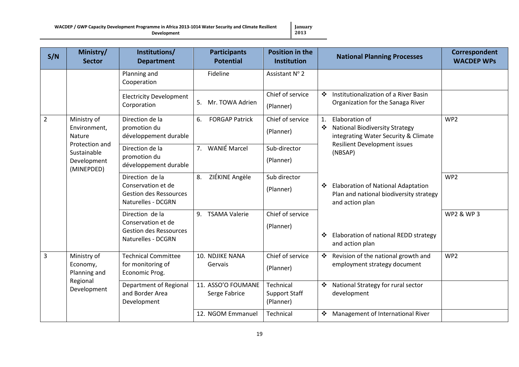**WACDEP / GWP Capacity Development Programme in Africa 2013-1014 Water Security and Climate Resilient Development**

**S/N Ministry/ Sector Institutions/ Department Participants Potential Position in the Institution National Planning Processes Correspondent WACDEP WPs** Planning and Cooperation Fideline | Assistant N° 2 Electricity Development Corporation 5. Mr. TOWA Adrien Chief of service (Planner) ❖ Institutionalization of a River Basin Organization for the Sanaga River 2 Ministry of Environment, Nature Protection and Sustainable Development (MINEPDED) Direction de la promotion du développement durable 6. FORGAP Patrick Chief of service (Planner) 1. Elaboration of National Biodiversity Strategy integrating Water Security & Climate Resilient Development issues (NBSAP) Elaboration of National Adaptation Plan and national biodiversity strategy and action plan Elaboration of national REDD strategy and action plan WP2 Direction de la promotion du développement durable 7. WANIÉ Marcel Sub-director (Planner) Direction de la Conservation et de Gestion des Ressources Naturelles - DCGRN 8. ZIÉKINE Angèle Sub director (Planner) WP2 Direction de la Conservation et de Gestion des Ressources Naturelles - DCGRN 9. TSAMA Valerie Chief of service (Planner) WP2 & WP 3 3 Ministry of Economy, Planning and Regional Development Technical Committee for monitoring of Economic Prog. 10. NDJIKE NANA Gervais Chief of service (Planner)  $\div$  Revision of the national growth and employment strategy document WP2 Department of Regional and Border Area Development 11. ASSO'O FOUMANE Serge Fabrice Technical Support Staff (Planner) National Strategy for rural sector development 12. NGOM Emmanuel | Technical  $\mathbf{\hat{P}}$  Management of International River

**January 2013**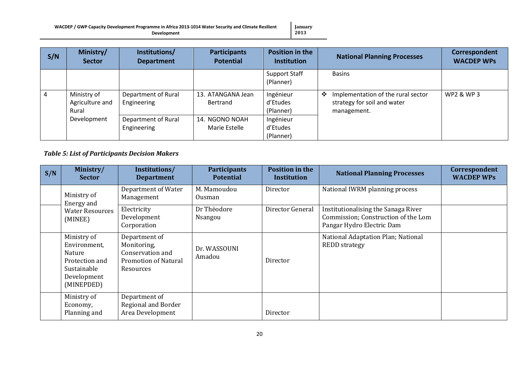**January 2013**

| S/N | Ministry/<br><b>Sector</b>              | Institutions/<br><b>Department</b> | <b>Participants</b><br><b>Potential</b> | <b>Position in the</b><br><b>Institution</b> | <b>National Planning Processes</b>                                                    | Correspondent<br><b>WACDEP WPs</b> |
|-----|-----------------------------------------|------------------------------------|-----------------------------------------|----------------------------------------------|---------------------------------------------------------------------------------------|------------------------------------|
|     |                                         |                                    |                                         | <b>Support Staff</b><br>(Planner)            | <b>Basins</b>                                                                         |                                    |
| 4   | Ministry of<br>Agriculture and<br>Rural | Department of Rural<br>Engineering | 13. ATANGANA Jean<br>Bertrand           | Ingénieur<br>d'Etudes<br>(Planner)           | Implementation of the rural sector<br>❖<br>strategy for soil and water<br>management. | <b>WP2 &amp; WP3</b>               |
|     | Development                             | Department of Rural<br>Engineering | 14. NGONO NOAH<br>Marie Estelle         | Ingénieur<br>d'Etudes<br>(Planner)           |                                                                                       |                                    |

#### *Table 5: List of Participants Decision Makers*

| S/N | Ministry/<br><b>Sector</b>                                                                          | Institutions/<br><b>Department</b>                                                           | <b>Participants</b><br><b>Potential</b> | <b>Position in the</b><br><b>Institution</b> | <b>National Planning Processes</b>                                                                      | Correspondent<br><b>WACDEP WPs</b> |
|-----|-----------------------------------------------------------------------------------------------------|----------------------------------------------------------------------------------------------|-----------------------------------------|----------------------------------------------|---------------------------------------------------------------------------------------------------------|------------------------------------|
|     | Ministry of<br>Energy and                                                                           | Department of Water<br>Management                                                            | M. Mamoudou<br>Ousman                   | Director                                     | National IWRM planning process                                                                          |                                    |
|     | <b>Water Resources</b><br>(MINEE)                                                                   | Electricity<br>Development<br>Corporation                                                    | Dr Théodore<br>Nsangou                  | Director General                             | Institutionalising the Sanaga River<br>Commission; Construction of the Lom<br>Pangar Hydro Electric Dam |                                    |
|     | Ministry of<br>Environment,<br>Nature<br>Protection and<br>Sustainable<br>Development<br>(MINEPDED) | Department of<br>Monitoring,<br>Conservation and<br><b>Promotion of Natural</b><br>Resources | Dr. WASSOUNI<br>Amadou                  | Director                                     | National Adaptation Plan; National<br><b>REDD</b> strategy                                              |                                    |
|     | Ministry of<br>Economy,<br>Planning and                                                             | Department of<br>Regional and Border<br>Area Development                                     |                                         | Director                                     |                                                                                                         |                                    |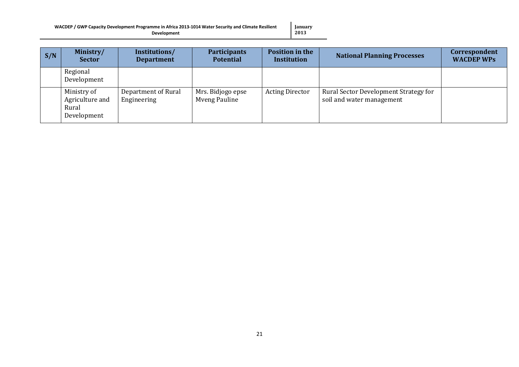| WACDEP / GWP Capacity Development Programme in Africa 2013-1014 Water Security and Climate Resilient | January             |
|------------------------------------------------------------------------------------------------------|---------------------|
| <b>Development</b>                                                                                   | $\blacksquare$ 2013 |

| S/N | Ministry/<br><b>Sector</b>                             | Institutions/<br><b>Department</b> | <b>Participants</b><br><b>Potential</b> | <b>Position in the</b><br><b>Institution</b> | <b>National Planning Processes</b>                                 | Correspondent<br><b>WACDEP WPs</b> |
|-----|--------------------------------------------------------|------------------------------------|-----------------------------------------|----------------------------------------------|--------------------------------------------------------------------|------------------------------------|
|     | Regional<br>Development                                |                                    |                                         |                                              |                                                                    |                                    |
|     | Ministry of<br>Agriculture and<br>Rural<br>Development | Department of Rural<br>Engineering | Mrs. Bidjogo epse<br>Mveng Pauline      | <b>Acting Director</b>                       | Rural Sector Development Strategy for<br>soil and water management |                                    |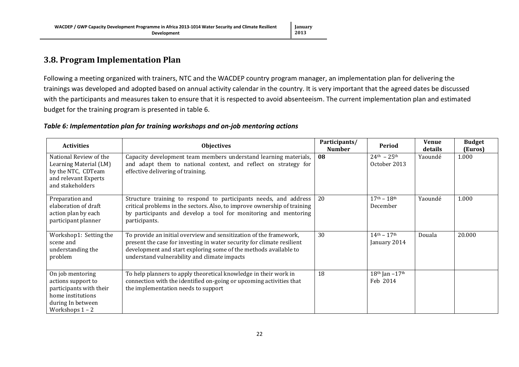### **3.8. Program Implementation Plan**

Following a meeting organized with trainers, NTC and the WACDEP country program manager, an implementation plan for delivering the trainings was developed and adopted based on annual activity calendar in the country. It is very important that the agreed dates be discussed with the participants and measures taken to ensure that it is respected to avoid absenteeism. The current implementation plan and estimated budget for the training program is presented in table 6.

<span id="page-21-0"></span>

| <b>Activities</b>                                                                                                                | <b>Objectives</b>                                                                                                                                                                                                                                                | Participants/<br><b>Number</b> | Period                              | Venue<br>details | <b>Budget</b><br>(Euros) |
|----------------------------------------------------------------------------------------------------------------------------------|------------------------------------------------------------------------------------------------------------------------------------------------------------------------------------------------------------------------------------------------------------------|--------------------------------|-------------------------------------|------------------|--------------------------|
| National Review of the<br>Learning Material (LM)<br>by the NTC, CDTeam<br>and relevant Experts<br>and stakeholders               | Capacity development team members understand learning materials,<br>and adapt them to national context, and reflect on strategy for<br>effective delivering of training.                                                                                         | 08                             | $24^{th} - 25^{th}$<br>October 2013 | Yaoundé          | 1.000                    |
| Preparation and<br>elaboration of draft<br>action plan by each<br>participant planner                                            | Structure training to respond to participants needs, and address<br>critical problems in the sectors. Also, to improve ownership of training<br>by participants and develop a tool for monitoring and mentoring<br>participants.                                 | 20                             | $17^{th} - 18^{th}$<br>December     | Yaoundé          | 1.000                    |
| Workshop1: Setting the<br>scene and<br>understanding the<br>problem                                                              | To provide an initial overview and sensitization of the framework,<br>present the case for investing in water security for climate resilient<br>development and start exploring some of the methods available to<br>understand vulnerability and climate impacts | 30                             | $14^{th} - 17^{th}$<br>January 2014 | Douala           | 20.000                   |
| On job mentoring<br>actions support to<br>participants with their<br>home institutions<br>during In between<br>Workshops $1 - 2$ | To help planners to apply theoretical knowledge in their work in<br>connection with the identified on-going or upcoming activities that<br>the implementation needs to support                                                                                   | 18                             | $18th$ Jan $-17th$<br>Feb 2014      |                  |                          |

#### *Table 6: Implementation plan for training workshops and on-job mentoring actions*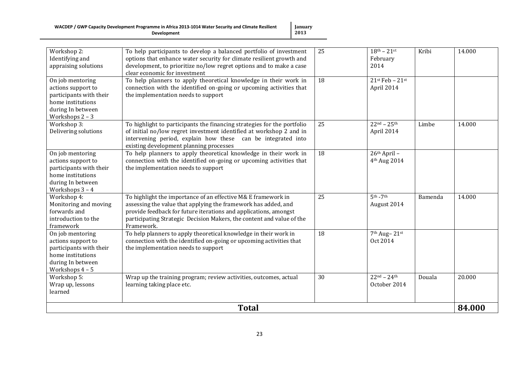**January 2013**

|                                                                                                                                | <b>Total</b>                                                                                                                                                                                                                                                                                 |          |                                                           |         | 84.000 |
|--------------------------------------------------------------------------------------------------------------------------------|----------------------------------------------------------------------------------------------------------------------------------------------------------------------------------------------------------------------------------------------------------------------------------------------|----------|-----------------------------------------------------------|---------|--------|
| Workshop 5:<br>Wrap up, lessons<br>learned                                                                                     | Wrap up the training program; review activities, outcomes, actual<br>learning taking place etc.                                                                                                                                                                                              | 30       | $22^{nd} - 24^{th}$<br>October 2014                       | Douala  | 20.000 |
| On job mentoring<br>actions support to<br>participants with their<br>home institutions<br>during In between<br>Workshops $4-5$ | To help planners to apply theoretical knowledge in their work in<br>connection with the identified on-going or upcoming activities that<br>the implementation needs to support                                                                                                               |          | 7 <sup>th</sup> Aug-21 <sup>st</sup><br>Oct 2014          |         |        |
| Workshop 4:<br>Monitoring and moving<br>forwards and<br>introduction to the<br>framework                                       | To highlight the importance of an effective M& $E$ framework in<br>assessing the value that applying the framework has added, and<br>provide feedback for future iterations and applications, amongst<br>participating Strategic Decision Makers, the content and value of the<br>Framework. | 25<br>18 | $5th - 7th$<br>August 2014                                | Bamenda | 14.000 |
| On job mentoring<br>actions support to<br>participants with their<br>home institutions<br>during In between<br>Workshops 3 - 4 | To help planners to apply theoretical knowledge in their work in<br>connection with the identified on-going or upcoming activities that<br>the implementation needs to support                                                                                                               | 18       | 26th April -<br>4 <sup>th</sup> Aug 2014                  |         |        |
| Workshop 3:<br>Delivering solutions                                                                                            | To highlight to participants the financing strategies for the portfolio<br>of initial no/low regret investment identified at workshop 2 and in<br>intervening period, explain how these can be integrated into<br>existing development planning processes                                    | 25       | $22^{nd} - 25^{th}$<br>April 2014                         | Limbe   | 14.000 |
| On job mentoring<br>actions support to<br>participants with their<br>home institutions<br>during In between<br>Workshops 2 - 3 | To help planners to apply theoretical knowledge in their work in<br>connection with the identified on-going or upcoming activities that<br>the implementation needs to support                                                                                                               | 18       | $21$ <sup>st</sup> Feb - $21$ <sup>st</sup><br>April 2014 |         |        |
| Workshop 2:<br>Identifying and<br>appraising solutions                                                                         | To help participants to develop a balanced portfolio of investment<br>options that enhance water security for climate resilient growth and<br>development, to prioritize no/low regret options and to make a case<br>clear economic for investment                                           | 25       | $18^{th} - 21^{st}$<br>February<br>2014                   | Kribi   | 14.000 |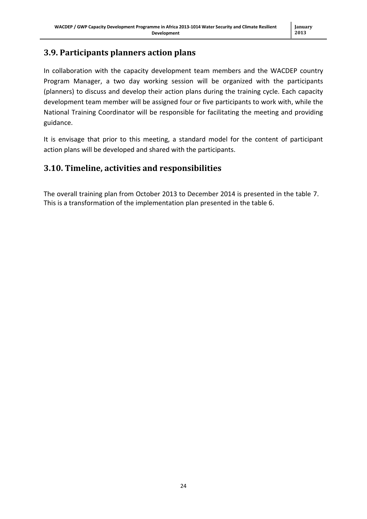## <span id="page-23-0"></span>**3.9. Participants planners action plans**

In collaboration with the capacity development team members and the WACDEP country Program Manager, a two day working session will be organized with the participants (planners) to discuss and develop their action plans during the training cycle. Each capacity development team member will be assigned four or five participants to work with, while the National Training Coordinator will be responsible for facilitating the meeting and providing guidance.

It is envisage that prior to this meeting, a standard model for the content of participant action plans will be developed and shared with the participants.

## <span id="page-23-1"></span>**3.10. Timeline, activities and responsibilities**

The overall training plan from October 2013 to December 2014 is presented in the table 7. This is a transformation of the implementation plan presented in the table 6.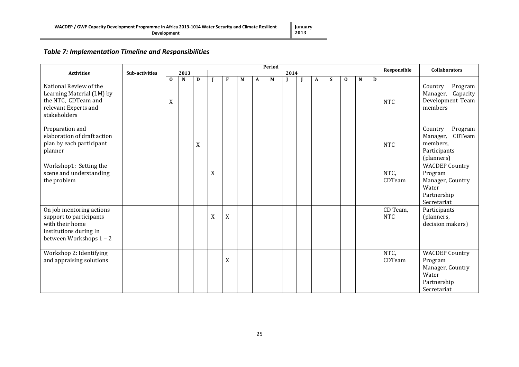#### *Table 7: Implementation Timeline and Responsibilities*

|                                                                                                                             |                       | Period        |             |   |   |             |   |   |   |  |  |   |   |             |             |   | <b>Collaborators</b>   |                                                                                             |
|-----------------------------------------------------------------------------------------------------------------------------|-----------------------|---------------|-------------|---|---|-------------|---|---|---|--|--|---|---|-------------|-------------|---|------------------------|---------------------------------------------------------------------------------------------|
| <b>Activities</b>                                                                                                           | <b>Sub-activities</b> | 2013          |             |   |   | 2014        |   |   |   |  |  |   |   | Responsible |             |   |                        |                                                                                             |
| National Review of the<br>Learning Material (LM) by<br>the NTC, CDTeam and<br>relevant Experts and<br>stakeholders          |                       | $\bf{0}$<br>X | $\mathbf N$ | D |   | F           | M | A | M |  |  | A | S | $\bf{0}$    | $\mathbf N$ | D | <b>NTC</b>             | Program<br>Country<br>Manager, Capacity<br>Development Team<br>members                      |
| Preparation and<br>elaboration of draft action<br>plan by each participant<br>planner                                       |                       |               |             | X |   |             |   |   |   |  |  |   |   |             |             |   | <b>NTC</b>             | Country<br>Program<br>CDTeam<br>Manager,<br>members,<br>Participants<br>(planners)          |
| Workshop1: Setting the<br>scene and understanding<br>the problem                                                            |                       |               |             |   | X |             |   |   |   |  |  |   |   |             |             |   | NTC,<br>CDTeam         | <b>WACDEP Country</b><br>Program<br>Manager, Country<br>Water<br>Partnership<br>Secretariat |
| On job mentoring actions<br>support to participants<br>with their home<br>institutions during In<br>between Workshops 1 - 2 |                       |               |             |   | X | X           |   |   |   |  |  |   |   |             |             |   | CD Team,<br><b>NTC</b> | Participants<br>(planners,<br>decision makers)                                              |
| Workshop 2: Identifying<br>and appraising solutions                                                                         |                       |               |             |   |   | $\mathbf X$ |   |   |   |  |  |   |   |             |             |   | NTC.<br>CDTeam         | <b>WACDEP Country</b><br>Program<br>Manager, Country<br>Water<br>Partnership<br>Secretariat |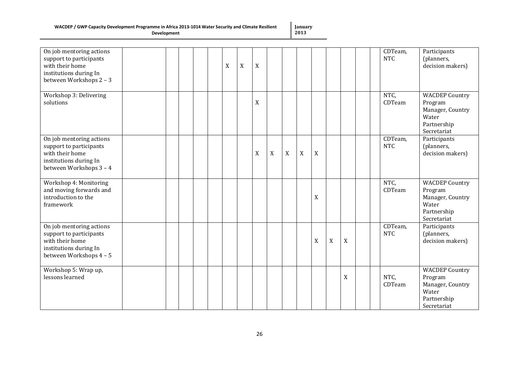|  |  |  |  | WACDEP / GWP Capacity Development Programme in Africa 2013-1014 Water Security and Climate Resilient |  |
|--|--|--|--|------------------------------------------------------------------------------------------------------|--|
|  |  |  |  |                                                                                                      |  |

**Development**

**January 2013**

| On job mentoring actions<br>support to participants<br>with their home<br>institutions during In<br>between Workshops 2 - 3 |  |  | X | X | $\mathbf X$ |                  |             |             |             |             |             | CDTeam,<br><b>NTC</b> | Participants<br>(planners,<br>decision makers)                                              |
|-----------------------------------------------------------------------------------------------------------------------------|--|--|---|---|-------------|------------------|-------------|-------------|-------------|-------------|-------------|-----------------------|---------------------------------------------------------------------------------------------|
| Workshop 3: Delivering<br>solutions                                                                                         |  |  |   |   | $\mathbf X$ |                  |             |             |             |             |             | NTC,<br>CDTeam        | <b>WACDEP Country</b><br>Program<br>Manager, Country<br>Water<br>Partnership<br>Secretariat |
| On job mentoring actions<br>support to participants<br>with their home<br>institutions during In<br>between Workshops 3 - 4 |  |  |   |   | X           | $\boldsymbol{X}$ | $\mathbf X$ | $\mathbf X$ | $\mathbf X$ |             |             | CDTeam,<br><b>NTC</b> | Participants<br>(planners,<br>decision makers)                                              |
| Workshop 4: Monitoring<br>and moving forwards and<br>introduction to the<br>framework                                       |  |  |   |   |             |                  |             |             | $\mathbf X$ |             |             | NTC,<br>CDTeam        | <b>WACDEP Country</b><br>Program<br>Manager, Country<br>Water<br>Partnership<br>Secretariat |
| On job mentoring actions<br>support to participants<br>with their home<br>institutions during In<br>between Workshops 4 - 5 |  |  |   |   |             |                  |             |             | $\mathbf X$ | $\mathbf X$ | $\mathbf X$ | CDTeam,<br><b>NTC</b> | Participants<br>(planners,<br>decision makers)                                              |
| Workshop 5: Wrap up,<br>lessons learned                                                                                     |  |  |   |   |             |                  |             |             |             |             | X           | NTC,<br>CDTeam        | <b>WACDEP Country</b><br>Program<br>Manager, Country<br>Water<br>Partnership<br>Secretariat |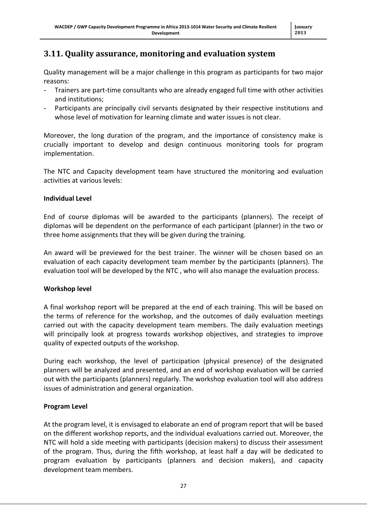#### <span id="page-26-0"></span>**3.11. Quality assurance, monitoring and evaluation system**

Quality management will be a major challenge in this program as participants for two major reasons:

- Trainers are part-time consultants who are already engaged full time with other activities and institutions;
- Participants are principally civil servants designated by their respective institutions and whose level of motivation for learning climate and water issues is not clear.

Moreover, the long duration of the program, and the importance of consistency make is crucially important to develop and design continuous monitoring tools for program implementation.

The NTC and Capacity development team have structured the monitoring and evaluation activities at various levels:

#### **Individual Level**

End of course diplomas will be awarded to the participants (planners). The receipt of diplomas will be dependent on the performance of each participant (planner) in the two or three home assignments that they will be given during the training.

An award will be previewed for the best trainer. The winner will be chosen based on an evaluation of each capacity development team member by the participants (planners). The evaluation tool will be developed by the NTC , who will also manage the evaluation process.

#### **Workshop level**

A final workshop report will be prepared at the end of each training. This will be based on the terms of reference for the workshop, and the outcomes of daily evaluation meetings carried out with the capacity development team members. The daily evaluation meetings will principally look at progress towards workshop objectives, and strategies to improve quality of expected outputs of the workshop.

During each workshop, the level of participation (physical presence) of the designated planners will be analyzed and presented, and an end of workshop evaluation will be carried out with the participants (planners) regularly. The workshop evaluation tool will also address issues of administration and general organization.

#### **Program Level**

At the program level, it is envisaged to elaborate an end of program report that will be based on the different workshop reports, and the individual evaluations carried out. Moreover, the NTC will hold a side meeting with participants (decision makers) to discuss their assessment of the program. Thus, during the fifth workshop, at least half a day will be dedicated to program evaluation by participants (planners and decision makers), and capacity development team members.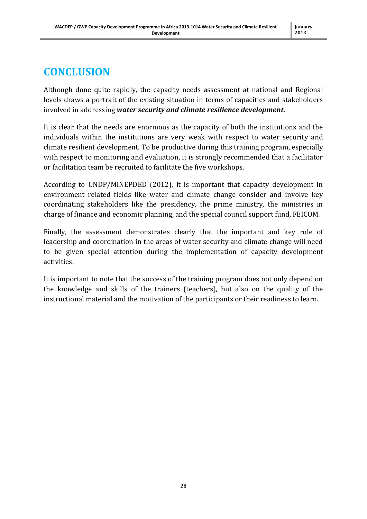## <span id="page-27-0"></span>**CONCLUSION**

Although done quite rapidly, the capacity needs assessment at national and Regional levels draws a portrait of the existing situation in terms of capacities and stakeholders involved in addressing *water security and climate resilience development*.

It is clear that the needs are enormous as the capacity of both the institutions and the individuals within the institutions are very weak with respect to water security and climate resilient development. To be productive during this training program, especially with respect to monitoring and evaluation, it is strongly recommended that a facilitator or facilitation team be recruited to facilitate the five workshops.

According to UNDP/MINEPDED (2012), it is important that capacity development in environment related fields like water and climate change consider and involve key coordinating stakeholders like the presidency, the prime ministry, the ministries in charge of finance and economic planning, and the special council support fund, FEICOM.

Finally, the assessment demonstrates clearly that the important and key role of leadership and coordination in the areas of water security and climate change will need to be given special attention during the implementation of capacity development activities.

It is important to note that the success of the training program does not only depend on the knowledge and skills of the trainers (teachers), but also on the quality of the instructional material and the motivation of the participants or their readiness to learn.